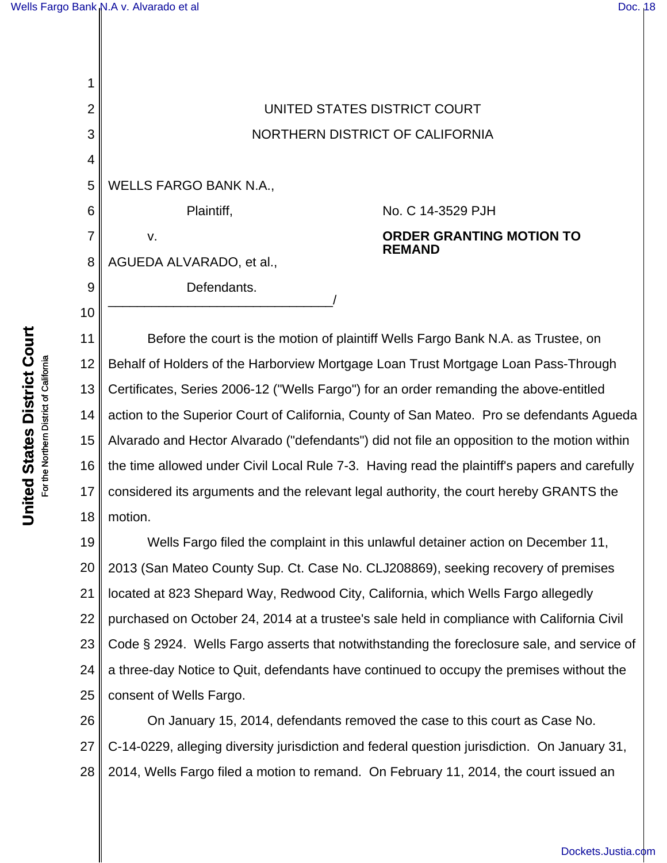| 2  | UNITED STATES DISTRICT COURT    |                                                  |
|----|---------------------------------|--------------------------------------------------|
| 3  | NORTHERN DISTRICT OF CALIFORNIA |                                                  |
| 4  |                                 |                                                  |
| 5  | <b>WELLS FARGO BANK N.A.,</b>   |                                                  |
| 6  | Plaintiff,                      | No. C 14-3529 PJH                                |
|    | v.                              | <b>ORDER GRANTING MOTION TO</b><br><b>REMAND</b> |
| 8  | AGUEDA ALVARADO, et al.,        |                                                  |
| 9  | Defendants.                     |                                                  |
| 10 |                                 |                                                  |
|    |                                 |                                                  |

11 12 13 14 15 16 17 18 Before the court is the motion of plaintiff Wells Fargo Bank N.A. as Trustee, on Behalf of Holders of the Harborview Mortgage Loan Trust Mortgage Loan Pass-Through Certificates, Series 2006-12 ("Wells Fargo") for an order remanding the above-entitled action to the Superior Court of California, County of San Mateo. Pro se defendants Agueda Alvarado and Hector Alvarado ("defendants") did not file an opposition to the motion within the time allowed under Civil Local Rule 7-3. Having read the plaintiff's papers and carefully considered its arguments and the relevant legal authority, the court hereby GRANTS the motion.

19 20 21 22 23 24 25 Wells Fargo filed the complaint in this unlawful detainer action on December 11, 2013 (San Mateo County Sup. Ct. Case No. CLJ208869), seeking recovery of premises located at 823 Shepard Way, Redwood City, California, which Wells Fargo allegedly purchased on October 24, 2014 at a trustee's sale held in compliance with California Civil Code § 2924. Wells Fargo asserts that notwithstanding the foreclosure sale, and service of a three-day Notice to Quit, defendants have continued to occupy the premises without the consent of Wells Fargo.

26 27 28 On January 15, 2014, defendants removed the case to this court as Case No. C-14-0229, alleging diversity jurisdiction and federal question jurisdiction. On January 31, 2014, Wells Fargo filed a motion to remand. On February 11, 2014, the court issued an

[Dockets.Justia.com](http://dockets.justia.com/)